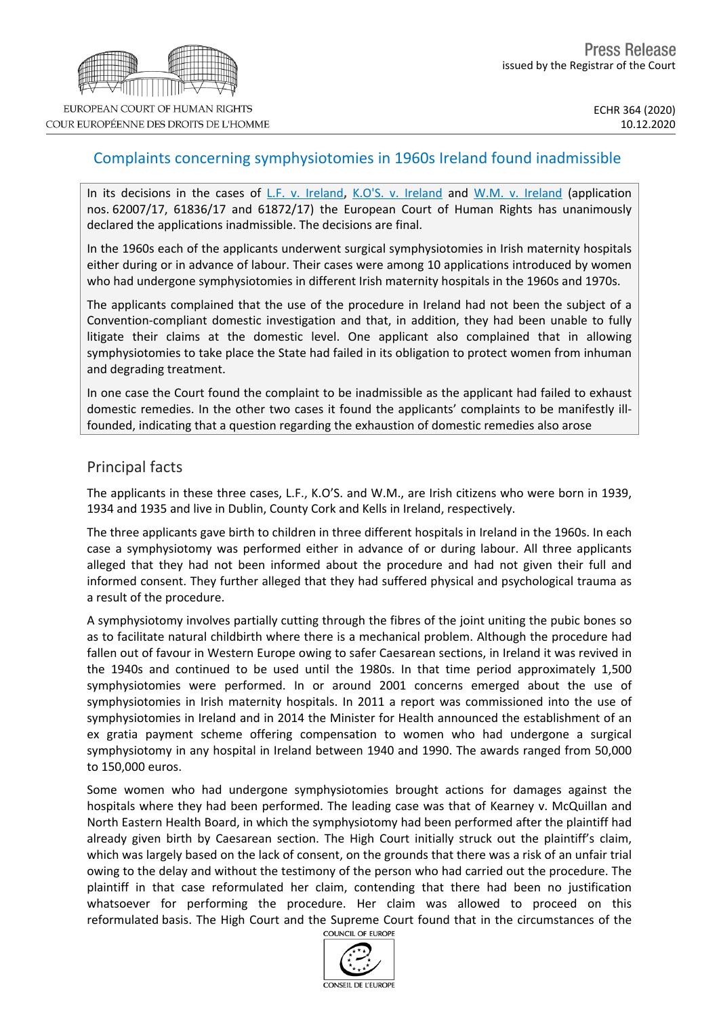# Complaints concerning symphysiotomies in 1960s Ireland found inadmissible

In its decisions in the cases of L.F. v. [Ireland](http://hudoc.echr.coe.int/fre?i=001-206719)**,** K.O'S. v. [Ireland](http://hudoc.echr.coe.int/fre?i=001-206717) and W.M. v. [Ireland](http://hudoc.echr.coe.int/eng?i=001-206718) (application nos. 62007/17, 61836/17 and 61872/17) the European Court of Human Rights has unanimously declared the applications inadmissible. The decisions are final.

In the 1960s each of the applicants underwent surgical symphysiotomies in Irish maternity hospitals either during or in advance of labour. Their cases were among 10 applications introduced by women who had undergone symphysiotomies in different Irish maternity hospitals in the 1960s and 1970s.

The applicants complained that the use of the procedure in Ireland had not been the subject of a Convention-compliant domestic investigation and that, in addition, they had been unable to fully litigate their claims at the domestic level. One applicant also complained that in allowing symphysiotomies to take place the State had failed in its obligation to protect women from inhuman and degrading treatment.

In one case the Court found the complaint to be inadmissible as the applicant had failed to exhaust domestic remedies. In the other two cases it found the applicants' complaints to be manifestly illfounded, indicating that a question regarding the exhaustion of domestic remedies also arose

## Principal facts

The applicants in these three cases, L.F., K.O'S. and W.M., are Irish citizens who were born in 1939, 1934 and 1935 and live in Dublin, County Cork and Kells in Ireland, respectively.

The three applicants gave birth to children in three different hospitals in Ireland in the 1960s. In each case a symphysiotomy was performed either in advance of or during labour. All three applicants alleged that they had not been informed about the procedure and had not given their full and informed consent. They further alleged that they had suffered physical and psychological trauma as a result of the procedure.

A symphysiotomy involves partially cutting through the fibres of the joint uniting the pubic bones so as to facilitate natural childbirth where there is a mechanical problem. Although the procedure had fallen out of favour in Western Europe owing to safer Caesarean sections, in Ireland it was revived in the 1940s and continued to be used until the 1980s. In that time period approximately 1,500 symphysiotomies were performed. In or around 2001 concerns emerged about the use of symphysiotomies in Irish maternity hospitals. In 2011 a report was commissioned into the use of symphysiotomies in Ireland and in 2014 the Minister for Health announced the establishment of an ex gratia payment scheme offering compensation to women who had undergone a surgical symphysiotomy in any hospital in Ireland between 1940 and 1990. The awards ranged from 50,000 to 150,000 euros.

Some women who had undergone symphysiotomies brought actions for damages against the hospitals where they had been performed. The leading case was that of Kearney v. McQuillan and North Eastern Health Board, in which the symphysiotomy had been performed after the plaintiff had already given birth by Caesarean section. The High Court initially struck out the plaintiff's claim, which was largely based on the lack of consent, on the grounds that there was a risk of an unfair trial owing to the delay and without the testimony of the person who had carried out the procedure. The plaintiff in that case reformulated her claim, contending that there had been no justification whatsoever for performing the procedure. Her claim was allowed to proceed on this reformulated basis. The High Court and the Supreme Court found that in the circumstances of the



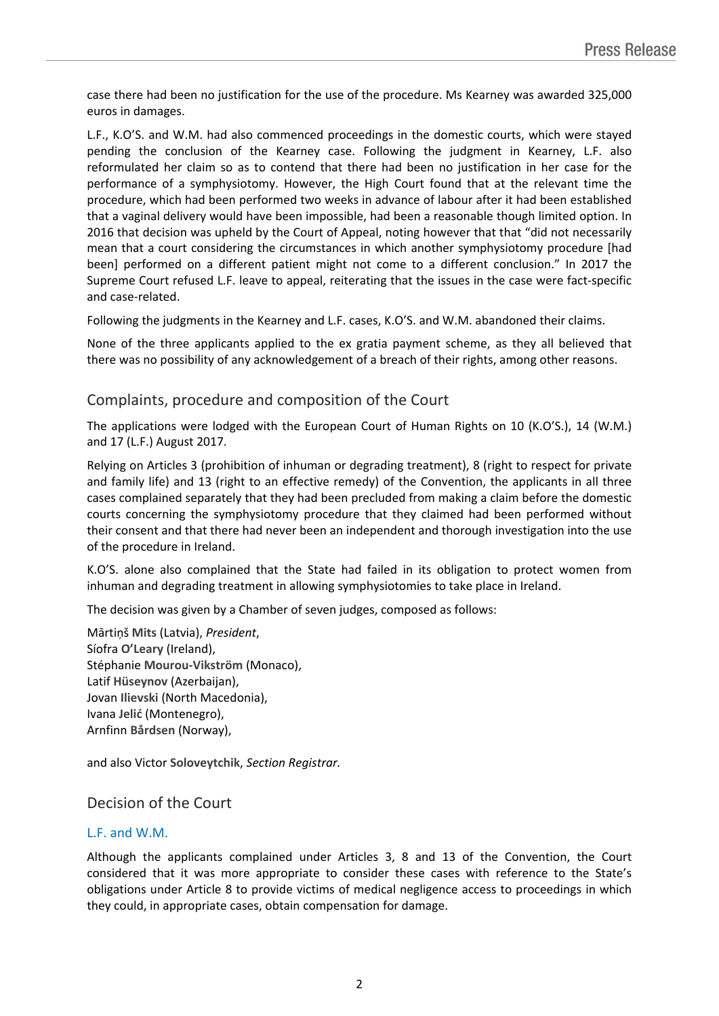case there had been no justification for the use of the procedure. Ms Kearney was awarded 325,000 euros in damages.

L.F., K.O'S. and W.M. had also commenced proceedings in the domestic courts, which were stayed pending the conclusion of the Kearney case. Following the judgment in Kearney, L.F. also reformulated her claim so as to contend that there had been no justification in her case for the performance of a symphysiotomy. However, the High Court found that at the relevant time the procedure, which had been performed two weeks in advance of labour after it had been established that a vaginal delivery would have been impossible, had been a reasonable though limited option. In 2016 that decision was upheld by the Court of Appeal, noting however that that "did not necessarily mean that a court considering the circumstances in which another symphysiotomy procedure [had been] performed on a different patient might not come to a different conclusion." In 2017 the Supreme Court refused L.F. leave to appeal, reiterating that the issues in the case were fact-specific and case-related.

Following the judgments in the Kearney and L.F. cases, K.O'S. and W.M. abandoned their claims.

None of the three applicants applied to the ex gratia payment scheme, as they all believed that there was no possibility of any acknowledgement of a breach of their rights, among other reasons.

### Complaints, procedure and composition of the Court

The applications were lodged with the European Court of Human Rights on 10 (K.O'S.), 14 (W.M.) and 17 (L.F.) August 2017.

Relying on Articles 3 (prohibition of inhuman or degrading treatment), 8 (right to respect for private and family life) and 13 (right to an effective remedy) of the Convention, the applicants in all three cases complained separately that they had been precluded from making a claim before the domestic courts concerning the symphysiotomy procedure that they claimed had been performed without their consent and that there had never been an independent and thorough investigation into the use of the procedure in Ireland.

K.O'S. alone also complained that the State had failed in its obligation to protect women from inhuman and degrading treatment in allowing symphysiotomies to take place in Ireland.

The decision was given by a Chamber of seven judges, composed as follows:

Mārtiņš **Mits** (Latvia), *President*, Síofra **O'Leary** (Ireland), Stéphanie **Mourou-Vikström** (Monaco), Latif **Hüseynov** (Azerbaijan), Jovan **Ilievski** (North Macedonia), Ivana **Jelić** (Montenegro), Arnfinn **Bårdsen** (Norway),

and also Victor **Soloveytchik**, *Section Registrar.*

### Decision of the Court

### L.F. and W.M.

Although the applicants complained under Articles 3, 8 and 13 of the Convention, the Court considered that it was more appropriate to consider these cases with reference to the State's obligations under Article 8 to provide victims of medical negligence access to proceedings in which they could, in appropriate cases, obtain compensation for damage.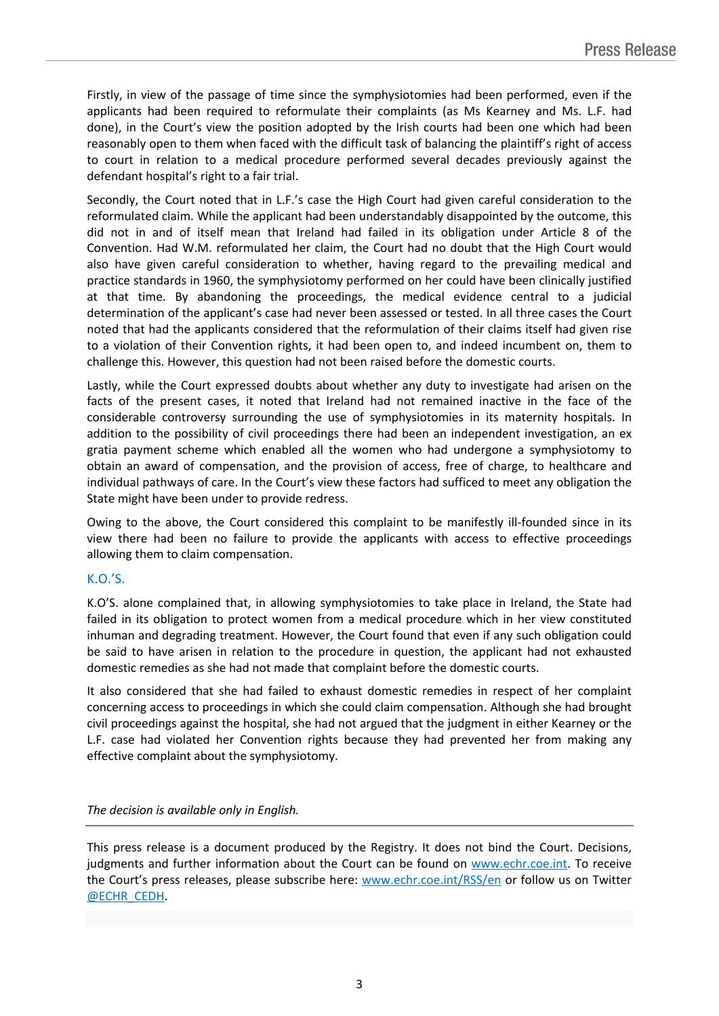Firstly, in view of the passage of time since the symphysiotomies had been performed, even if the applicants had been required to reformulate their complaints (as Ms Kearney and Ms. L.F. had done), in the Court's view the position adopted by the Irish courts had been one which had been reasonably open to them when faced with the difficult task of balancing the plaintiff's right of access to court in relation to a medical procedure performed several decades previously against the defendant hospital's right to a fair trial.

Secondly, the Court noted that in L.F.'s case the High Court had given careful consideration to the reformulated claim. While the applicant had been understandably disappointed by the outcome, this did not in and of itself mean that Ireland had failed in its obligation under Article 8 of the Convention. Had W.M. reformulated her claim, the Court had no doubt that the High Court would also have given careful consideration to whether, having regard to the prevailing medical and practice standards in 1960, the symphysiotomy performed on her could have been clinically justified at that time. By abandoning the proceedings, the medical evidence central to a judicial determination of the applicant's case had never been assessed or tested. In all three cases the Court noted that had the applicants considered that the reformulation of their claims itself had given rise to a violation of their Convention rights, it had been open to, and indeed incumbent on, them to challenge this. However, this question had not been raised before the domestic courts.

Lastly, while the Court expressed doubts about whether any duty to investigate had arisen on the facts of the present cases, it noted that Ireland had not remained inactive in the face of the considerable controversy surrounding the use of symphysiotomies in its maternity hospitals. In addition to the possibility of civil proceedings there had been an independent investigation, an ex gratia payment scheme which enabled all the women who had undergone a symphysiotomy to obtain an award of compensation, and the provision of access, free of charge, to healthcare and individual pathways of care. In the Court's view these factors had sufficed to meet any obligation the State might have been under to provide redress.

Owing to the above, the Court considered this complaint to be manifestly ill-founded since in its view there had been no failure to provide the applicants with access to effective proceedings allowing them to claim compensation.

### K.O.'S.

K.O'S. alone complained that, in allowing symphysiotomies to take place in Ireland, the State had failed in its obligation to protect women from a medical procedure which in her view constituted inhuman and degrading treatment. However, the Court found that even if any such obligation could be said to have arisen in relation to the procedure in question, the applicant had not exhausted domestic remedies as she had not made that complaint before the domestic courts.

It also considered that she had failed to exhaust domestic remedies in respect of her complaint concerning access to proceedings in which she could claim compensation. Although she had brought civil proceedings against the hospital, she had not argued that the judgment in either Kearney or the L.F. case had violated her Convention rights because they had prevented her from making any effective complaint about the symphysiotomy.

#### *The decision is available only in English.*

This press release is a document produced by the Registry. It does not bind the Court. Decisions, judgments and further information about the Court can be found on [www.echr.coe.int](http://www.echr.coe.int/). To receive the Court's press releases, please subscribe here: [www.echr.coe.int/RSS/en](http://www.echr.coe.int/RSS/en) or follow us on Twitter [@ECHR\\_CEDH](https://twitter.com/ECHR_CEDH).